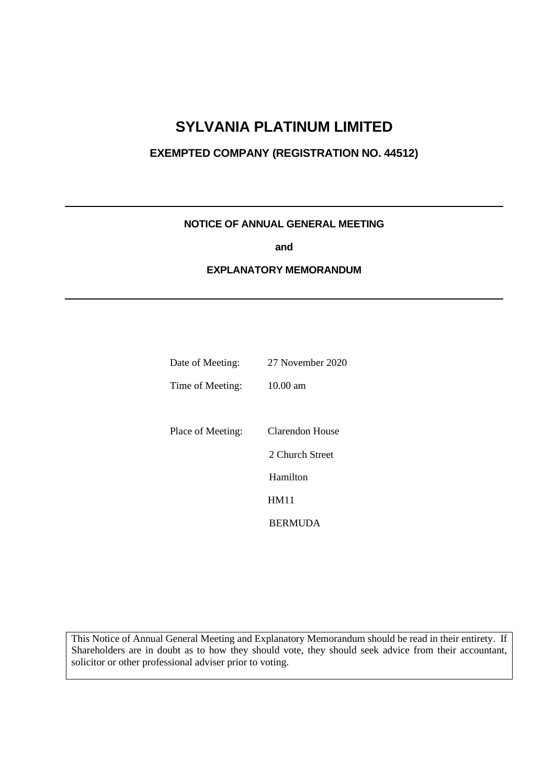## **SYLVANIA PLATINUM LIMITED**

## **EXEMPTED COMPANY (REGISTRATION NO. 44512)**

## **NOTICE OF ANNUAL GENERAL MEETING**

**and**

#### **EXPLANATORY MEMORANDUM**

| Date of Meeting:  | 27 November 2020 |
|-------------------|------------------|
| Time of Meeting:  | 10.00 am         |
|                   |                  |
| Place of Meeting: | Clarendon House  |
|                   | 2 Church Street  |
|                   | Hamilton         |
|                   | HM11             |
|                   | <b>BERMUDA</b>   |

This Notice of Annual General Meeting and Explanatory Memorandum should be read in their entirety. If Shareholders are in doubt as to how they should vote, they should seek advice from their accountant, solicitor or other professional adviser prior to voting.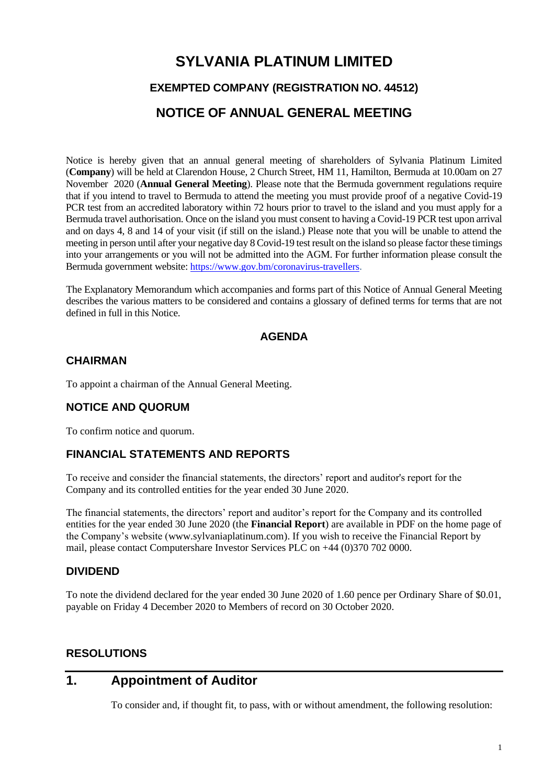# **SYLVANIA PLATINUM LIMITED EXEMPTED COMPANY (REGISTRATION NO. 44512) NOTICE OF ANNUAL GENERAL MEETING**

Notice is hereby given that an annual general meeting of shareholders of Sylvania Platinum Limited (**Company**) will be held at Clarendon House, 2 Church Street, HM 11, Hamilton, Bermuda at 10.00am on 27 November 2020 (**Annual General Meeting**). Please note that the Bermuda government regulations require that if you intend to travel to Bermuda to attend the meeting you must provide proof of a negative Covid-19 PCR test from an accredited laboratory within 72 hours prior to travel to the island and you must apply for a Bermuda travel authorisation. Once on the island you must consent to having a Covid-19 PCR test upon arrival and on days 4, 8 and 14 of your visit (if still on the island.) Please note that you will be unable to attend the meeting in person until after your negative day 8 Covid-19 test result on the island so please factor these timings into your arrangements or you will not be admitted into the AGM. For further information please consult the Bermuda government website: <https://www.gov.bm/coronavirus-travellers>.

The Explanatory Memorandum which accompanies and forms part of this Notice of Annual General Meeting describes the various matters to be considered and contains a glossary of defined terms for terms that are not defined in full in this Notice.

## **AGENDA**

#### **CHAIRMAN**

To appoint a chairman of the Annual General Meeting.

## **NOTICE AND QUORUM**

To confirm notice and quorum.

## **FINANCIAL STATEMENTS AND REPORTS**

To receive and consider the financial statements, the directors' report and auditor's report for the Company and its controlled entities for the year ended 30 June 2020.

The financial statements, the directors' report and auditor's report for the Company and its controlled entities for the year ended 30 June 2020 (the **Financial Report**) are available in PDF on the home page of the Company's website [\(www.sylvaniaplatinum.com\)](http://www.sylvaniaplatinum.com/). If you wish to receive the Financial Report by mail, please contact Computershare Investor Services PLC on +44 (0)370 702 0000.

#### **DIVIDEND**

To note the dividend declared for the year ended 30 June 2020 of 1.60 pence per Ordinary Share of \$0.01, payable on Friday 4 December 2020 to Members of record on 30 October 2020.

## **RESOLUTIONS**

## **1. Appointment of Auditor**

To consider and, if thought fit, to pass, with or without amendment, the following resolution: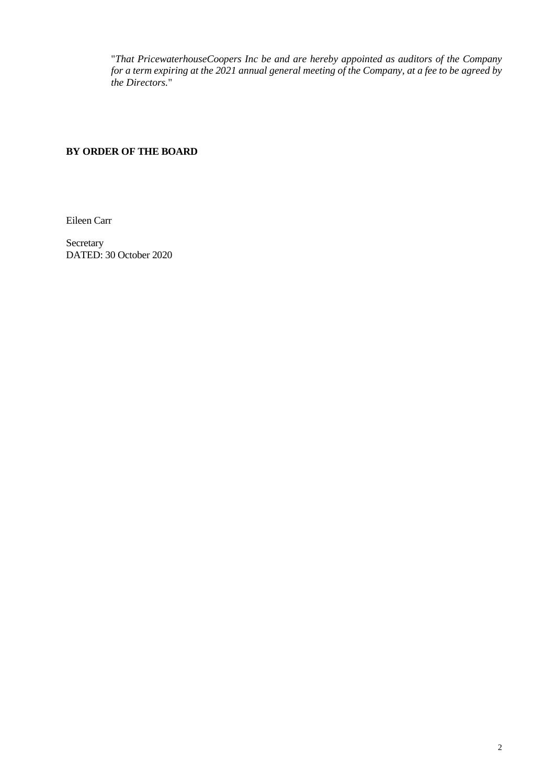"*That PricewaterhouseCoopers Inc be and are hereby appointed as auditors of the Company for a term expiring at the 2021 annual general meeting of the Company, at a fee to be agreed by the Directors.*"

## **BY ORDER OF THE BOARD**

Eileen Carr

Secretary DATED: 30 October 2020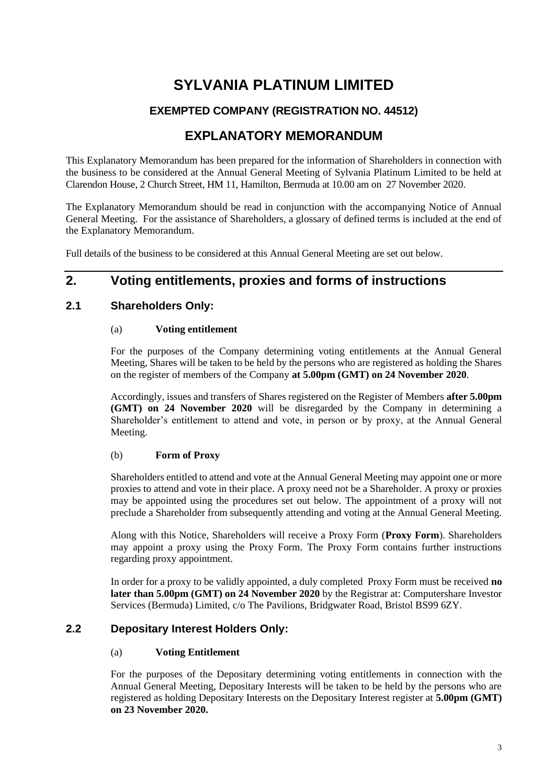## **SYLVANIA PLATINUM LIMITED**

## **EXEMPTED COMPANY (REGISTRATION NO. 44512)**

## **EXPLANATORY MEMORANDUM**

This Explanatory Memorandum has been prepared for the information of Shareholders in connection with the business to be considered at the Annual General Meeting of Sylvania Platinum Limited to be held at Clarendon House, 2 Church Street, HM 11, Hamilton, Bermuda at 10.00 am on 27 November 2020.

The Explanatory Memorandum should be read in conjunction with the accompanying Notice of Annual General Meeting. For the assistance of Shareholders, a glossary of defined terms is included at the end of the Explanatory Memorandum.

Full details of the business to be considered at this Annual General Meeting are set out below.

## **2. Voting entitlements, proxies and forms of instructions**

## **2.1 Shareholders Only:**

#### (a) **Voting entitlement**

For the purposes of the Company determining voting entitlements at the Annual General Meeting, Shares will be taken to be held by the persons who are registered as holding the Shares on the register of members of the Company **at 5.00pm (GMT) on 24 November 2020**.

Accordingly, issues and transfers of Shares registered on the Register of Members **after 5.00pm (GMT) on 24 November 2020** will be disregarded by the Company in determining a Shareholder's entitlement to attend and vote, in person or by proxy, at the Annual General Meeting.

#### (b) **Form of Proxy**

Shareholders entitled to attend and vote at the Annual General Meeting may appoint one or more proxies to attend and vote in their place. A proxy need not be a Shareholder. A proxy or proxies may be appointed using the procedures set out below. The appointment of a proxy will not preclude a Shareholder from subsequently attending and voting at the Annual General Meeting.

Along with this Notice, Shareholders will receive a Proxy Form (**Proxy Form**). Shareholders may appoint a proxy using the Proxy Form. The Proxy Form contains further instructions regarding proxy appointment.

In order for a proxy to be validly appointed, a duly completed Proxy Form must be received **no later than 5.00pm (GMT) on 24 November 2020** by the Registrar at: Computershare Investor Services (Bermuda) Limited, c/o The Pavilions, Bridgwater Road, Bristol BS99 6ZY.

## **2.2 Depositary Interest Holders Only:**

#### (a) **Voting Entitlement**

For the purposes of the Depositary determining voting entitlements in connection with the Annual General Meeting, Depositary Interests will be taken to be held by the persons who are registered as holding Depositary Interests on the Depositary Interest register at **5.00pm (GMT) on 23 November 2020.**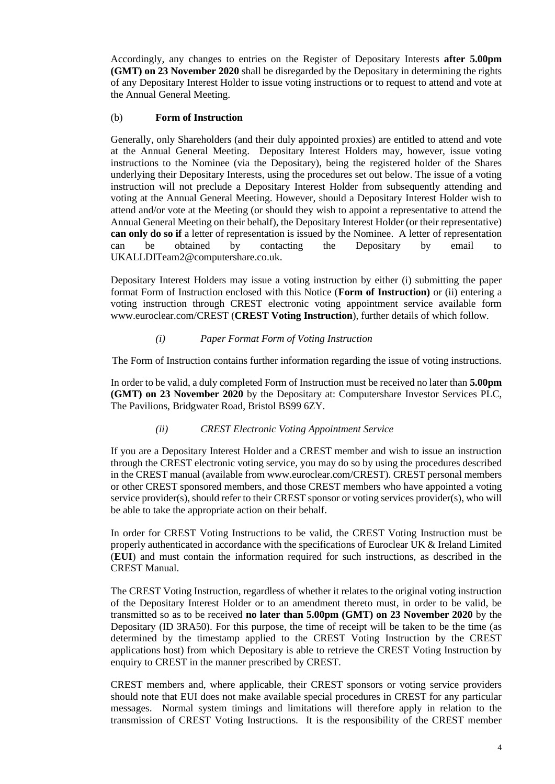Accordingly, any changes to entries on the Register of Depositary Interests **after 5.00pm (GMT) on 23 November 2020** shall be disregarded by the Depositary in determining the rights of any Depositary Interest Holder to issue voting instructions or to request to attend and vote at the Annual General Meeting.

#### (b) **Form of Instruction**

Generally, only Shareholders (and their duly appointed proxies) are entitled to attend and vote at the Annual General Meeting. Depositary Interest Holders may, however, issue voting instructions to the Nominee (via the Depositary), being the registered holder of the Shares underlying their Depositary Interests, using the procedures set out below. The issue of a voting instruction will not preclude a Depositary Interest Holder from subsequently attending and voting at the Annual General Meeting. However, should a Depositary Interest Holder wish to attend and/or vote at the Meeting (or should they wish to appoint a representative to attend the Annual General Meeting on their behalf), the Depositary Interest Holder (or their representative) **can only do so if** a letter of representation is issued by the Nominee. A letter of representation can be obtained by contacting the Depositary by email to [UKALLDITeam2@computershare.co.uk.](mailto:UKALLDITeam2@computershare.co.uk)

Depositary Interest Holders may issue a voting instruction by either (i) submitting the paper format Form of Instruction enclosed with this Notice (**Form of Instruction)** or (ii) entering a voting instruction through CREST electronic voting appointment service available form [www.euroclear.com/CREST](http://www.euroclear.com/CREST) (**CREST Voting Instruction**), further details of which follow.

#### *(i) Paper Format Form of Voting Instruction*

The Form of Instruction contains further information regarding the issue of voting instructions.

In order to be valid, a duly completed Form of Instruction must be received no later than **5.00pm (GMT) on 23 November 2020** by the Depositary at: Computershare Investor Services PLC, The Pavilions, Bridgwater Road, Bristol BS99 6ZY.

#### *(ii) CREST Electronic Voting Appointment Service*

If you are a Depositary Interest Holder and a CREST member and wish to issue an instruction through the CREST electronic voting service, you may do so by using the procedures described in the CREST manual (available fro[m www.euroclear.com/CREST\)](http://www.euroclear.com/CREST). CREST personal members or other CREST sponsored members, and those CREST members who have appointed a voting service provider(s), should refer to their CREST sponsor or voting services provider(s), who will be able to take the appropriate action on their behalf.

In order for CREST Voting Instructions to be valid, the CREST Voting Instruction must be properly authenticated in accordance with the specifications of Euroclear UK & Ireland Limited (**EUI**) and must contain the information required for such instructions, as described in the CREST Manual.

The CREST Voting Instruction, regardless of whether it relates to the original voting instruction of the Depositary Interest Holder or to an amendment thereto must, in order to be valid, be transmitted so as to be received **no later than 5.00pm (GMT) on 23 November 2020** by the Depositary (ID 3RA50). For this purpose, the time of receipt will be taken to be the time (as determined by the timestamp applied to the CREST Voting Instruction by the CREST applications host) from which Depositary is able to retrieve the CREST Voting Instruction by enquiry to CREST in the manner prescribed by CREST.

CREST members and, where applicable, their CREST sponsors or voting service providers should note that EUI does not make available special procedures in CREST for any particular messages. Normal system timings and limitations will therefore apply in relation to the transmission of CREST Voting Instructions. It is the responsibility of the CREST member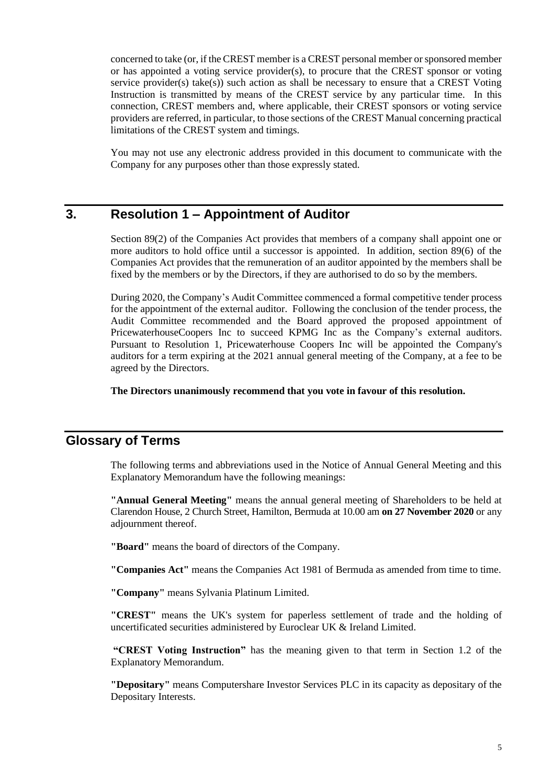concerned to take (or, if the CREST member is a CREST personal member or sponsored member or has appointed a voting service provider(s), to procure that the CREST sponsor or voting service provider(s) take(s)) such action as shall be necessary to ensure that a CREST Voting Instruction is transmitted by means of the CREST service by any particular time. In this connection, CREST members and, where applicable, their CREST sponsors or voting service providers are referred, in particular, to those sections of the CREST Manual concerning practical limitations of the CREST system and timings.

You may not use any electronic address provided in this document to communicate with the Company for any purposes other than those expressly stated.

## **3. Resolution 1 – Appointment of Auditor**

Section 89(2) of the Companies Act provides that members of a company shall appoint one or more auditors to hold office until a successor is appointed. In addition, section 89(6) of the Companies Act provides that the remuneration of an auditor appointed by the members shall be fixed by the members or by the Directors, if they are authorised to do so by the members.

During 2020, the Company's Audit Committee commenced a formal competitive tender process for the appointment of the external auditor. Following the conclusion of the tender process, the Audit Committee recommended and the Board approved the proposed appointment of PricewaterhouseCoopers Inc to succeed KPMG Inc as the Company's external auditors. Pursuant to Resolution 1, Pricewaterhouse Coopers Inc will be appointed the Company's auditors for a term expiring at the 2021 annual general meeting of the Company, at a fee to be agreed by the Directors.

**The Directors unanimously recommend that you vote in favour of this resolution.**

## **Glossary of Terms**

The following terms and abbreviations used in the Notice of Annual General Meeting and this Explanatory Memorandum have the following meanings:

**"Annual General Meeting"** means the annual general meeting of Shareholders to be held at Clarendon House, 2 Church Street, Hamilton, Bermuda at 10.00 am **on 27 November 2020** or any adjournment thereof.

**"Board"** means the board of directors of the Company.

**"Companies Act"** means the Companies Act 1981 of Bermuda as amended from time to time.

**"Company"** means Sylvania Platinum Limited.

**"CREST"** means the UK's system for paperless settlement of trade and the holding of uncertificated securities administered by Euroclear UK & Ireland Limited.

**"CREST Voting Instruction"** has the meaning given to that term in Section 1.2 of the Explanatory Memorandum.

**"Depositary"** means Computershare Investor Services PLC in its capacity as depositary of the Depositary Interests.